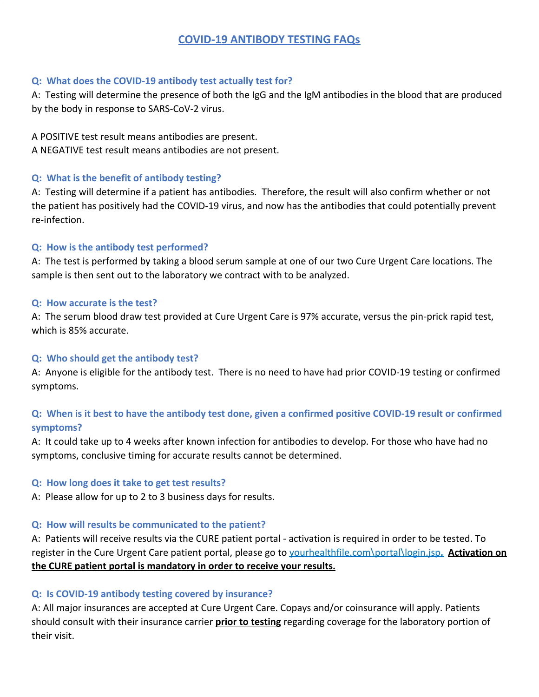# **COVID-19 ANTIBODY TESTING FAQs**

#### **Q: What does the COVID-19 antibody test actually test for?**

A: Testing will determine the presence of both the IgG and the IgM antibodies in the blood that are produced by the body in response to SARS-CoV-2 virus.

A POSITIVE test result means antibodies are present.

A NEGATIVE test result means antibodies are not present.

### **Q: What is the benefit of antibody testing?**

A: Testing will determine if a patient has antibodies. Therefore, the result will also confirm whether or not the patient has positively had the COVID-19 virus, and now has the antibodies that could potentially prevent re-infection.

## **Q: How is the antibody test performed?**

A: The test is performed by taking a blood serum sample at one of our two Cure Urgent Care locations. The sample is then sent out to the laboratory we contract with to be analyzed.

### **Q: How accurate is the test?**

A: The serum blood draw test provided at Cure Urgent Care is 97% accurate, versus the pin-prick rapid test, which is 85% accurate.

## **Q: Who should get the antibody test?**

A: Anyone is eligible for the antibody test. There is no need to have had prior COVID-19 testing or confirmed symptoms.

# **Q: When is it best to have the antibody test done, given a confirmed positive COVID-19 result or confirmed symptoms?**

A: It could take up to 4 weeks after known infection for antibodies to develop. For those who have had no symptoms, conclusive timing for accurate results cannot be determined.

#### **Q: How long does it take to get test results?**

A: Please allow for up to 2 to 3 business days for results.

## **Q: How will results be communicated to the patient?**

A: Patients will receive results via the CURE patient portal - activation is required in order to be tested. To register in the Cure Urgent Care patient portal, please go to yourhealthfile.com\portal\login.jsp**. Activation on the CURE patient portal is mandatory in order to receive your results.**

## **Q: Is COVID-19 antibody testing covered by insurance?**

A: All major insurances are accepted at Cure Urgent Care. Copays and/or coinsurance will apply. Patients should consult with their insurance carrier **prior to testing** regarding coverage for the laboratory portion of their visit.